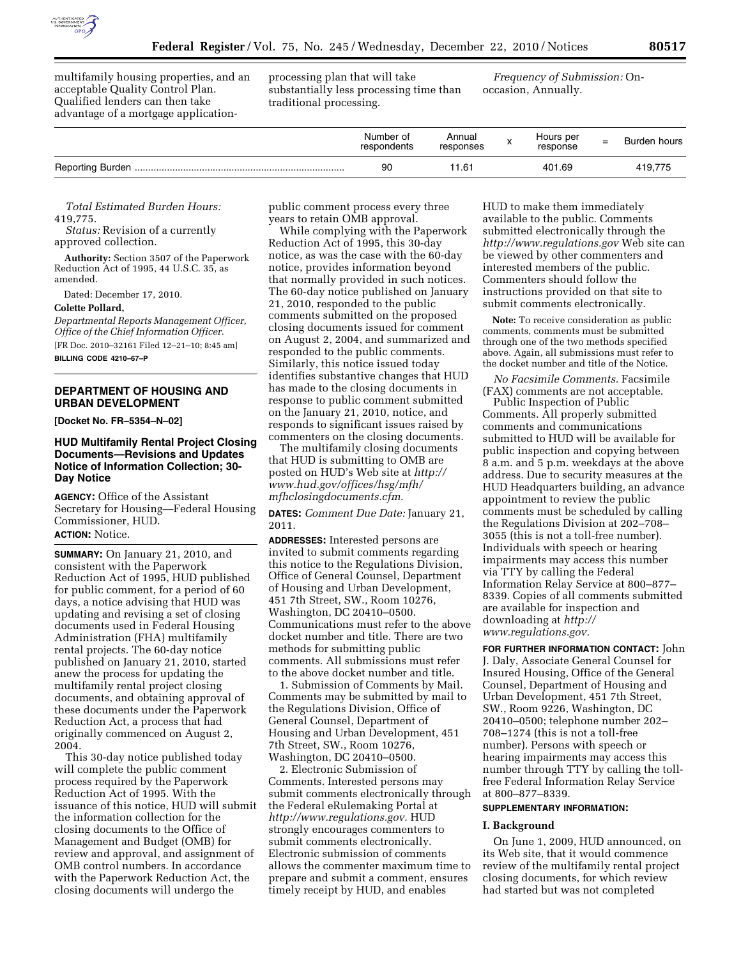

multifamily housing properties, and an acceptable Quality Control Plan. Qualified lenders can then take advantage of a mortgage applicationprocessing plan that will take substantially less processing time than traditional processing.

*Frequency of Submission:* Onoccasion, Annually.

| Number of<br>respondents | Annual<br>responses | Hours per<br>response | $=$ | Burden hours |
|--------------------------|---------------------|-----------------------|-----|--------------|
| 90                       | 11.61               | 401.69                |     | 419.775      |

*Total Estimated Burden Hours:*  419,775.

*Status:* Revision of a currently approved collection.

**Authority:** Section 3507 of the Paperwork Reduction Act of 1995, 44 U.S.C. 35, as amended.

Dated: December 17, 2010.

## **Colette Pollard,**

*Departmental Reports Management Officer, Office of the Chief Information Officer.* 

[FR Doc. 2010–32161 Filed 12–21–10; 8:45 am] **BILLING CODE 4210–67–P** 

# **DEPARTMENT OF HOUSING AND URBAN DEVELOPMENT**

**[Docket No. FR–5354–N–02]** 

# **HUD Multifamily Rental Project Closing Documents—Revisions and Updates Notice of Information Collection; 30- Day Notice**

**AGENCY:** Office of the Assistant Secretary for Housing—Federal Housing Commissioner, HUD. **ACTION:** Notice.

**SUMMARY:** On January 21, 2010, and consistent with the Paperwork Reduction Act of 1995, HUD published for public comment, for a period of 60 days, a notice advising that HUD was updating and revising a set of closing documents used in Federal Housing Administration (FHA) multifamily rental projects. The 60-day notice published on January 21, 2010, started anew the process for updating the multifamily rental project closing documents, and obtaining approval of these documents under the Paperwork Reduction Act, a process that had originally commenced on August 2, 2004.

This 30-day notice published today will complete the public comment process required by the Paperwork Reduction Act of 1995. With the issuance of this notice, HUD will submit the information collection for the closing documents to the Office of Management and Budget (OMB) for review and approval, and assignment of OMB control numbers. In accordance with the Paperwork Reduction Act, the closing documents will undergo the

public comment process every three years to retain OMB approval.

While complying with the Paperwork Reduction Act of 1995, this 30-day notice, as was the case with the 60-day notice, provides information beyond that normally provided in such notices. The 60-day notice published on January 21, 2010, responded to the public comments submitted on the proposed closing documents issued for comment on August 2, 2004, and summarized and responded to the public comments. Similarly, this notice issued today identifies substantive changes that HUD has made to the closing documents in response to public comment submitted on the January 21, 2010, notice, and responds to significant issues raised by commenters on the closing documents.

The multifamily closing documents that HUD is submitting to OMB are posted on HUD's Web site at *[http://](http://www.hud.gov/offices/hsg/mfh/mfhclosingdocuments.cfm)  [www.hud.gov/offices/hsg/mfh/](http://www.hud.gov/offices/hsg/mfh/mfhclosingdocuments.cfm) [mfhclosingdocuments.cfm](http://www.hud.gov/offices/hsg/mfh/mfhclosingdocuments.cfm)*.

**DATES:** *Comment Due Date:* January 21, 2011.

**ADDRESSES:** Interested persons are invited to submit comments regarding this notice to the Regulations Division, Office of General Counsel, Department of Housing and Urban Development, 451 7th Street, SW., Room 10276, Washington, DC 20410–0500. Communications must refer to the above docket number and title. There are two methods for submitting public comments. All submissions must refer to the above docket number and title.

1. Submission of Comments by Mail. Comments may be submitted by mail to the Regulations Division, Office of General Counsel, Department of Housing and Urban Development, 451 7th Street, SW., Room 10276, Washington, DC 20410–0500.

2. Electronic Submission of Comments. Interested persons may submit comments electronically through the Federal eRulemaking Portal at *[http://www.regulations.gov.](http://www.regulations.gov)* HUD strongly encourages commenters to submit comments electronically. Electronic submission of comments allows the commenter maximum time to prepare and submit a comment, ensures timely receipt by HUD, and enables

HUD to make them immediately available to the public. Comments submitted electronically through the *<http://www.regulations.gov>* Web site can be viewed by other commenters and interested members of the public. Commenters should follow the instructions provided on that site to submit comments electronically.

**Note:** To receive consideration as public comments, comments must be submitted through one of the two methods specified above. Again, all submissions must refer to the docket number and title of the Notice.

*No Facsimile Comments.* Facsimile (FAX) comments are not acceptable.

Public Inspection of Public Comments. All properly submitted comments and communications submitted to HUD will be available for public inspection and copying between 8 a.m. and 5 p.m. weekdays at the above address. Due to security measures at the HUD Headquarters building, an advance appointment to review the public comments must be scheduled by calling the Regulations Division at 202–708– 3055 (this is not a toll-free number). Individuals with speech or hearing impairments may access this number via TTY by calling the Federal Information Relay Service at 800–877– 8339. Copies of all comments submitted are available for inspection and downloading at *[http://](http://www.regulations.gov) [www.regulations.gov.](http://www.regulations.gov)* 

**FOR FURTHER INFORMATION CONTACT:** John J. Daly, Associate General Counsel for Insured Housing, Office of the General Counsel, Department of Housing and Urban Development, 451 7th Street, SW., Room 9226, Washington, DC 20410–0500; telephone number 202– 708–1274 (this is not a toll-free number). Persons with speech or hearing impairments may access this number through TTY by calling the tollfree Federal Information Relay Service at 800–877–8339.

## **SUPPLEMENTARY INFORMATION:**

#### **I. Background**

On June 1, 2009, HUD announced, on its Web site, that it would commence review of the multifamily rental project closing documents, for which review had started but was not completed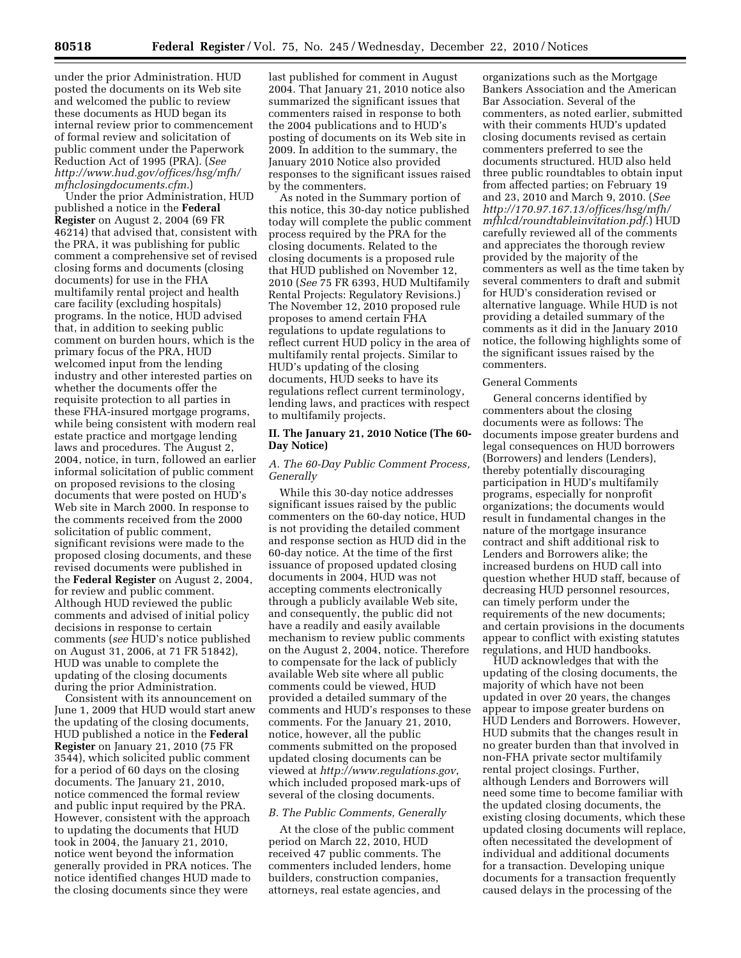under the prior Administration. HUD posted the documents on its Web site and welcomed the public to review these documents as HUD began its internal review prior to commencement of formal review and solicitation of public comment under the Paperwork Reduction Act of 1995 (PRA). (*See [http://www.hud.gov/offices/hsg/mfh/](http://www.hud.gov/offices/hsg/mfh/mfhclosingdocuments.cfm)  [mfhclosingdocuments.cfm.](http://www.hud.gov/offices/hsg/mfh/mfhclosingdocuments.cfm)*)

Under the prior Administration, HUD published a notice in the **Federal Register** on August 2, 2004 (69 FR 46214) that advised that, consistent with the PRA, it was publishing for public comment a comprehensive set of revised closing forms and documents (closing documents) for use in the FHA multifamily rental project and health care facility (excluding hospitals) programs. In the notice, HUD advised that, in addition to seeking public comment on burden hours, which is the primary focus of the PRA, HUD welcomed input from the lending industry and other interested parties on whether the documents offer the requisite protection to all parties in these FHA-insured mortgage programs, while being consistent with modern real estate practice and mortgage lending laws and procedures. The August 2, 2004, notice, in turn, followed an earlier informal solicitation of public comment on proposed revisions to the closing documents that were posted on HUD's Web site in March 2000. In response to the comments received from the 2000 solicitation of public comment, significant revisions were made to the proposed closing documents, and these revised documents were published in the **Federal Register** on August 2, 2004, for review and public comment. Although HUD reviewed the public comments and advised of initial policy decisions in response to certain comments (*see* HUD's notice published on August 31, 2006, at 71 FR 51842), HUD was unable to complete the updating of the closing documents during the prior Administration.

Consistent with its announcement on June 1, 2009 that HUD would start anew the updating of the closing documents, HUD published a notice in the **Federal Register** on January 21, 2010 (75 FR 3544), which solicited public comment for a period of 60 days on the closing documents. The January 21, 2010, notice commenced the formal review and public input required by the PRA. However, consistent with the approach to updating the documents that HUD took in 2004, the January 21, 2010, notice went beyond the information generally provided in PRA notices. The notice identified changes HUD made to the closing documents since they were

last published for comment in August 2004. That January 21, 2010 notice also summarized the significant issues that commenters raised in response to both the 2004 publications and to HUD's posting of documents on its Web site in 2009. In addition to the summary, the January 2010 Notice also provided responses to the significant issues raised by the commenters.

As noted in the Summary portion of this notice, this 30-day notice published today will complete the public comment process required by the PRA for the closing documents. Related to the closing documents is a proposed rule that HUD published on November 12, 2010 (*See* 75 FR 6393, HUD Multifamily Rental Projects: Regulatory Revisions.) The November 12, 2010 proposed rule proposes to amend certain FHA regulations to update regulations to reflect current HUD policy in the area of multifamily rental projects. Similar to HUD's updating of the closing documents, HUD seeks to have its regulations reflect current terminology, lending laws, and practices with respect to multifamily projects.

## **II. The January 21, 2010 Notice (The 60- Day Notice)**

# *A. The 60-Day Public Comment Process, Generally*

While this 30-day notice addresses significant issues raised by the public commenters on the 60-day notice, HUD is not providing the detailed comment and response section as HUD did in the 60-day notice. At the time of the first issuance of proposed updated closing documents in 2004, HUD was not accepting comments electronically through a publicly available Web site, and consequently, the public did not have a readily and easily available mechanism to review public comments on the August 2, 2004, notice. Therefore to compensate for the lack of publicly available Web site where all public comments could be viewed, HUD provided a detailed summary of the comments and HUD's responses to these comments. For the January 21, 2010, notice, however, all the public comments submitted on the proposed updated closing documents can be viewed at *<http://www.regulations.gov>*, which included proposed mark-ups of several of the closing documents.

### *B. The Public Comments, Generally*

At the close of the public comment period on March 22, 2010, HUD received 47 public comments. The commenters included lenders, home builders, construction companies, attorneys, real estate agencies, and

organizations such as the Mortgage Bankers Association and the American Bar Association. Several of the commenters, as noted earlier, submitted with their comments HUD's updated closing documents revised as certain commenters preferred to see the documents structured. HUD also held three public roundtables to obtain input from affected parties; on February 19 and 23, 2010 and March 9, 2010. (*See [http://170.97.167.13/offices/hsg/mfh/](http://170.97.167.13/offices/hsg/mfh/mfhlcd/roundtableinvitation.pdf) [mfhlcd/roundtableinvitation.pdf](http://170.97.167.13/offices/hsg/mfh/mfhlcd/roundtableinvitation.pdf)*.) HUD carefully reviewed all of the comments and appreciates the thorough review provided by the majority of the commenters as well as the time taken by several commenters to draft and submit for HUD's consideration revised or alternative language. While HUD is not providing a detailed summary of the comments as it did in the January 2010 notice, the following highlights some of the significant issues raised by the commenters.

#### General Comments

General concerns identified by commenters about the closing documents were as follows: The documents impose greater burdens and legal consequences on HUD borrowers (Borrowers) and lenders (Lenders), thereby potentially discouraging participation in HUD's multifamily programs, especially for nonprofit organizations; the documents would result in fundamental changes in the nature of the mortgage insurance contract and shift additional risk to Lenders and Borrowers alike; the increased burdens on HUD call into question whether HUD staff, because of decreasing HUD personnel resources, can timely perform under the requirements of the new documents; and certain provisions in the documents appear to conflict with existing statutes regulations, and HUD handbooks.

HUD acknowledges that with the updating of the closing documents, the majority of which have not been updated in over 20 years, the changes appear to impose greater burdens on HUD Lenders and Borrowers. However, HUD submits that the changes result in no greater burden than that involved in non-FHA private sector multifamily rental project closings. Further, although Lenders and Borrowers will need some time to become familiar with the updated closing documents, the existing closing documents, which these updated closing documents will replace, often necessitated the development of individual and additional documents for a transaction. Developing unique documents for a transaction frequently caused delays in the processing of the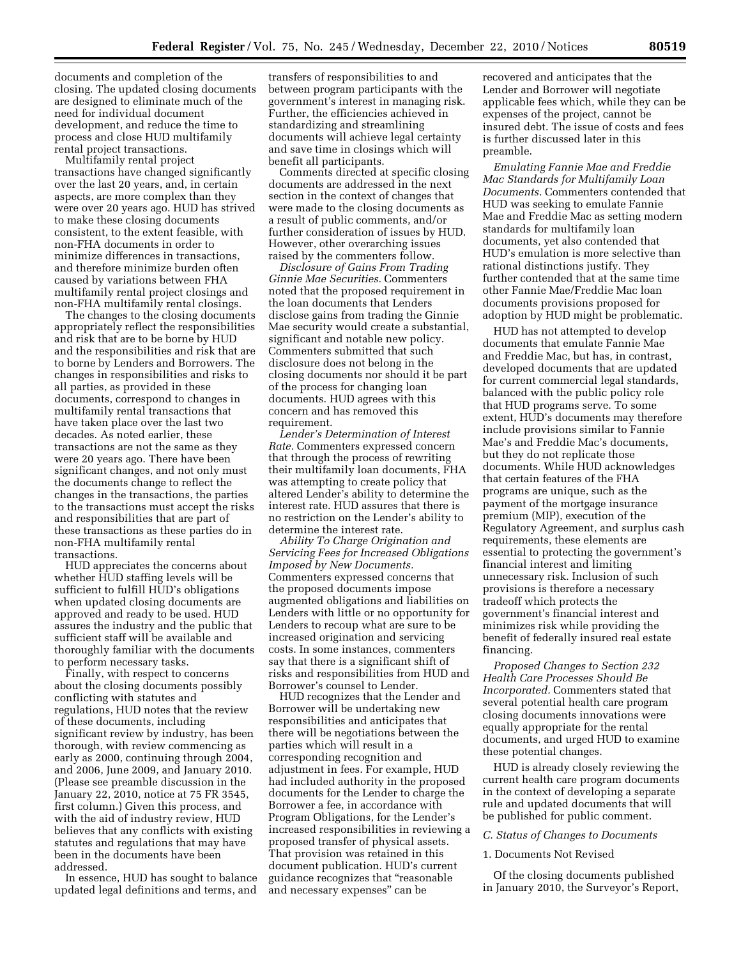documents and completion of the closing. The updated closing documents are designed to eliminate much of the need for individual document development, and reduce the time to process and close HUD multifamily rental project transactions.

Multifamily rental project transactions have changed significantly over the last 20 years, and, in certain aspects, are more complex than they were over 20 years ago. HUD has strived to make these closing documents consistent, to the extent feasible, with non-FHA documents in order to minimize differences in transactions, and therefore minimize burden often caused by variations between FHA multifamily rental project closings and non-FHA multifamily rental closings.

The changes to the closing documents appropriately reflect the responsibilities and risk that are to be borne by HUD and the responsibilities and risk that are to borne by Lenders and Borrowers. The changes in responsibilities and risks to all parties, as provided in these documents, correspond to changes in multifamily rental transactions that have taken place over the last two decades. As noted earlier, these transactions are not the same as they were 20 years ago. There have been significant changes, and not only must the documents change to reflect the changes in the transactions, the parties to the transactions must accept the risks and responsibilities that are part of these transactions as these parties do in non-FHA multifamily rental transactions.

HUD appreciates the concerns about whether HUD staffing levels will be sufficient to fulfill HUD's obligations when updated closing documents are approved and ready to be used. HUD assures the industry and the public that sufficient staff will be available and thoroughly familiar with the documents to perform necessary tasks.

Finally, with respect to concerns about the closing documents possibly conflicting with statutes and regulations, HUD notes that the review of these documents, including significant review by industry, has been thorough, with review commencing as early as 2000, continuing through 2004, and 2006, June 2009, and January 2010. (Please see preamble discussion in the January 22, 2010, notice at 75 FR 3545, first column.) Given this process, and with the aid of industry review, HUD believes that any conflicts with existing statutes and regulations that may have been in the documents have been addressed.

In essence, HUD has sought to balance updated legal definitions and terms, and

transfers of responsibilities to and between program participants with the government's interest in managing risk. Further, the efficiencies achieved in standardizing and streamlining documents will achieve legal certainty and save time in closings which will benefit all participants.

Comments directed at specific closing documents are addressed in the next section in the context of changes that were made to the closing documents as a result of public comments, and/or further consideration of issues by HUD. However, other overarching issues raised by the commenters follow.

*Disclosure of Gains From Trading Ginnie Mae Securities.* Commenters noted that the proposed requirement in the loan documents that Lenders disclose gains from trading the Ginnie Mae security would create a substantial, significant and notable new policy. Commenters submitted that such disclosure does not belong in the closing documents nor should it be part of the process for changing loan documents. HUD agrees with this concern and has removed this requirement.

*Lender's Determination of Interest Rate.* Commenters expressed concern that through the process of rewriting their multifamily loan documents, FHA was attempting to create policy that altered Lender's ability to determine the interest rate. HUD assures that there is no restriction on the Lender's ability to determine the interest rate.

*Ability To Charge Origination and Servicing Fees for Increased Obligations Imposed by New Documents.*  Commenters expressed concerns that the proposed documents impose augmented obligations and liabilities on Lenders with little or no opportunity for Lenders to recoup what are sure to be increased origination and servicing costs. In some instances, commenters say that there is a significant shift of risks and responsibilities from HUD and Borrower's counsel to Lender.

HUD recognizes that the Lender and Borrower will be undertaking new responsibilities and anticipates that there will be negotiations between the parties which will result in a corresponding recognition and adjustment in fees. For example, HUD had included authority in the proposed documents for the Lender to charge the Borrower a fee, in accordance with Program Obligations, for the Lender's increased responsibilities in reviewing a proposed transfer of physical assets. That provision was retained in this document publication. HUD's current guidance recognizes that ''reasonable and necessary expenses'' can be

recovered and anticipates that the Lender and Borrower will negotiate applicable fees which, while they can be expenses of the project, cannot be insured debt. The issue of costs and fees is further discussed later in this preamble.

*Emulating Fannie Mae and Freddie Mac Standards for Multifamily Loan Documents.* Commenters contended that HUD was seeking to emulate Fannie Mae and Freddie Mac as setting modern standards for multifamily loan documents, yet also contended that HUD's emulation is more selective than rational distinctions justify. They further contended that at the same time other Fannie Mae/Freddie Mac loan documents provisions proposed for adoption by HUD might be problematic.

HUD has not attempted to develop documents that emulate Fannie Mae and Freddie Mac, but has, in contrast, developed documents that are updated for current commercial legal standards, balanced with the public policy role that HUD programs serve. To some extent, HUD's documents may therefore include provisions similar to Fannie Mae's and Freddie Mac's documents, but they do not replicate those documents. While HUD acknowledges that certain features of the FHA programs are unique, such as the payment of the mortgage insurance premium (MIP), execution of the Regulatory Agreement, and surplus cash requirements, these elements are essential to protecting the government's financial interest and limiting unnecessary risk. Inclusion of such provisions is therefore a necessary tradeoff which protects the government's financial interest and minimizes risk while providing the benefit of federally insured real estate financing.

*Proposed Changes to Section 232 Health Care Processes Should Be Incorporated.* Commenters stated that several potential health care program closing documents innovations were equally appropriate for the rental documents, and urged HUD to examine these potential changes.

HUD is already closely reviewing the current health care program documents in the context of developing a separate rule and updated documents that will be published for public comment.

#### *C. Status of Changes to Documents*

1. Documents Not Revised

Of the closing documents published in January 2010, the Surveyor's Report,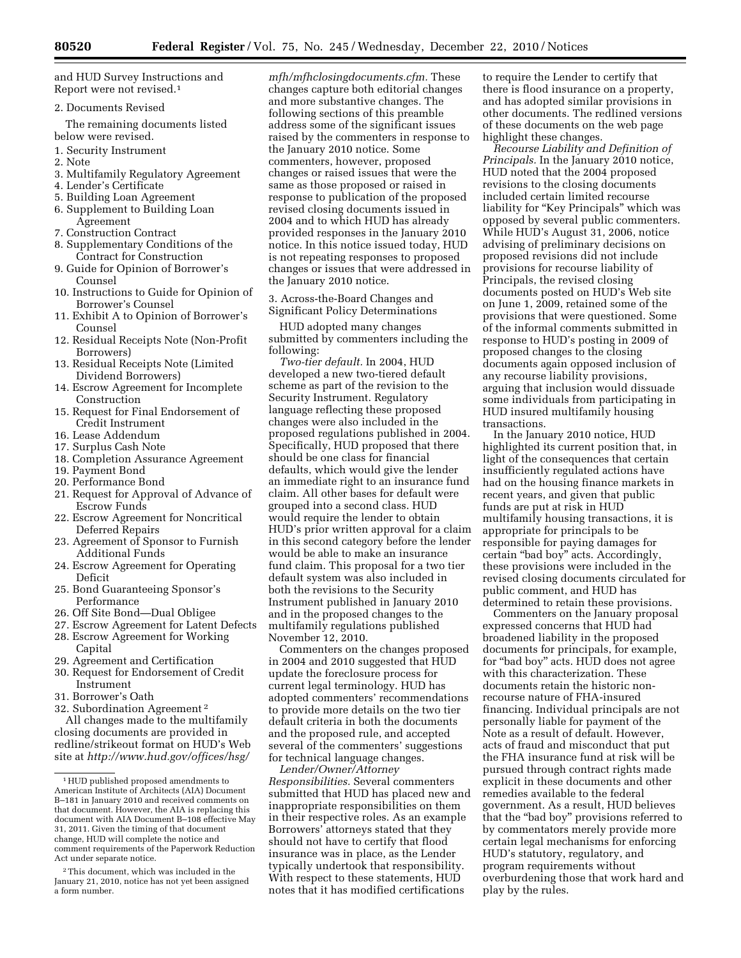and HUD Survey Instructions and Report were not revised.1

2. Documents Revised

The remaining documents listed below were revised.

- 1. Security Instrument
- 2. Note
- 3. Multifamily Regulatory Agreement
- 4. Lender's Certificate
- 5. Building Loan Agreement
- 6. Supplement to Building Loan Agreement
- 7. Construction Contract
- 8. Supplementary Conditions of the Contract for Construction
- 9. Guide for Opinion of Borrower's Counsel
- 10. Instructions to Guide for Opinion of Borrower's Counsel
- 11. Exhibit A to Opinion of Borrower's Counsel
- 12. Residual Receipts Note (Non-Profit Borrowers)
- 13. Residual Receipts Note (Limited Dividend Borrowers)
- 14. Escrow Agreement for Incomplete Construction
- 15. Request for Final Endorsement of Credit Instrument
- 16. Lease Addendum
- 17. Surplus Cash Note
- 18. Completion Assurance Agreement
- 19. Payment Bond
- 20. Performance Bond
- 21. Request for Approval of Advance of Escrow Funds
- 22. Escrow Agreement for Noncritical Deferred Repairs
- 23. Agreement of Sponsor to Furnish Additional Funds
- 24. Escrow Agreement for Operating Deficit
- 25. Bond Guaranteeing Sponsor's Performance
- 26. Off Site Bond—Dual Obligee
- 27. Escrow Agreement for Latent Defects
- 28. Escrow Agreement for Working Capital
- 29. Agreement and Certification
- 30. Request for Endorsement of Credit Instrument
- 31. Borrower's Oath
- 32. Subordination Agreement 2

All changes made to the multifamily closing documents are provided in redline/strikeout format on HUD's Web site at *[http://www.hud.gov/offices/hsg/](http://www.hud.gov/offices/hsg/mfh/mfhclosingdocuments.cfm)* 

*[mfh/mfhclosingdocuments.cfm.](http://www.hud.gov/offices/hsg/mfh/mfhclosingdocuments.cfm)* These changes capture both editorial changes and more substantive changes. The following sections of this preamble address some of the significant issues raised by the commenters in response to the January 2010 notice. Some commenters, however, proposed changes or raised issues that were the same as those proposed or raised in response to publication of the proposed revised closing documents issued in 2004 and to which HUD has already provided responses in the January 2010 notice. In this notice issued today, HUD is not repeating responses to proposed changes or issues that were addressed in the January 2010 notice.

3. Across-the-Board Changes and Significant Policy Determinations

HUD adopted many changes submitted by commenters including the following:

*Two-tier default.* In 2004, HUD developed a new two-tiered default scheme as part of the revision to the Security Instrument. Regulatory language reflecting these proposed changes were also included in the proposed regulations published in 2004. Specifically, HUD proposed that there should be one class for financial defaults, which would give the lender an immediate right to an insurance fund claim. All other bases for default were grouped into a second class. HUD would require the lender to obtain HUD's prior written approval for a claim in this second category before the lender would be able to make an insurance fund claim. This proposal for a two tier default system was also included in both the revisions to the Security Instrument published in January 2010 and in the proposed changes to the multifamily regulations published November 12, 2010.

Commenters on the changes proposed in 2004 and 2010 suggested that HUD update the foreclosure process for current legal terminology. HUD has adopted commenters' recommendations to provide more details on the two tier default criteria in both the documents and the proposed rule, and accepted several of the commenters' suggestions for technical language changes.

*Lender/Owner/Attorney Responsibilities.* Several commenters submitted that HUD has placed new and inappropriate responsibilities on them in their respective roles. As an example Borrowers' attorneys stated that they should not have to certify that flood insurance was in place, as the Lender typically undertook that responsibility. With respect to these statements, HUD notes that it has modified certifications

to require the Lender to certify that there is flood insurance on a property, and has adopted similar provisions in other documents. The redlined versions of these documents on the web page highlight these changes.

*Recourse Liability and Definition of Principals.* In the January 2010 notice, HUD noted that the 2004 proposed revisions to the closing documents included certain limited recourse liability for "Key Principals" which was opposed by several public commenters. While HUD's August 31, 2006, notice advising of preliminary decisions on proposed revisions did not include provisions for recourse liability of Principals, the revised closing documents posted on HUD's Web site on June 1, 2009, retained some of the provisions that were questioned. Some of the informal comments submitted in response to HUD's posting in 2009 of proposed changes to the closing documents again opposed inclusion of any recourse liability provisions, arguing that inclusion would dissuade some individuals from participating in HUD insured multifamily housing transactions.

In the January 2010 notice, HUD highlighted its current position that, in light of the consequences that certain insufficiently regulated actions have had on the housing finance markets in recent years, and given that public funds are put at risk in HUD multifamily housing transactions, it is appropriate for principals to be responsible for paying damages for certain ''bad boy'' acts. Accordingly, these provisions were included in the revised closing documents circulated for public comment, and HUD has determined to retain these provisions.

Commenters on the January proposal expressed concerns that HUD had broadened liability in the proposed documents for principals, for example, for ''bad boy'' acts. HUD does not agree with this characterization. These documents retain the historic nonrecourse nature of FHA-insured financing. Individual principals are not personally liable for payment of the Note as a result of default. However, acts of fraud and misconduct that put the FHA insurance fund at risk will be pursued through contract rights made explicit in these documents and other remedies available to the federal government. As a result, HUD believes that the ''bad boy'' provisions referred to by commentators merely provide more certain legal mechanisms for enforcing HUD's statutory, regulatory, and program requirements without overburdening those that work hard and play by the rules.

<sup>1</sup>HUD published proposed amendments to American Institute of Architects (AIA) Document B–181 in January 2010 and received comments on that document. However, the AIA is replacing this document with AIA Document B–108 effective May 31, 2011. Given the timing of that document change, HUD will complete the notice and comment requirements of the Paperwork Reduction Act under separate notice.

<sup>2</sup>This document, which was included in the January 21, 2010, notice has not yet been assigned a form number.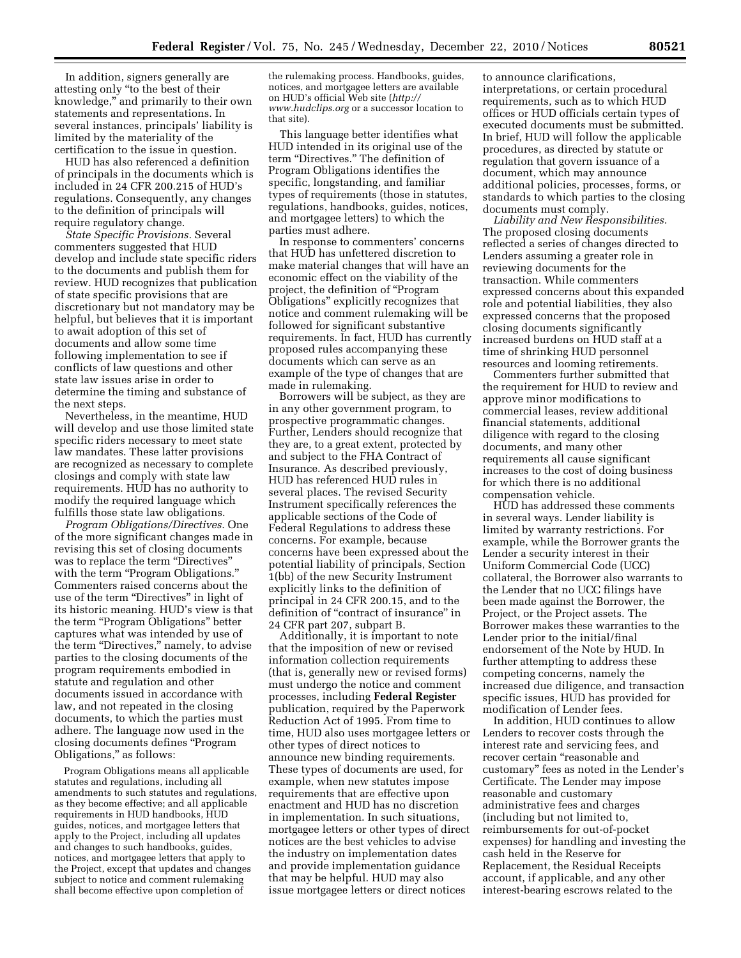In addition, signers generally are attesting only ''to the best of their knowledge,'' and primarily to their own statements and representations. In several instances, principals' liability is limited by the materiality of the certification to the issue in question.

HUD has also referenced a definition of principals in the documents which is included in 24 CFR 200.215 of HUD's regulations. Consequently, any changes to the definition of principals will require regulatory change.

*State Specific Provisions.* Several commenters suggested that HUD develop and include state specific riders to the documents and publish them for review. HUD recognizes that publication of state specific provisions that are discretionary but not mandatory may be helpful, but believes that it is important to await adoption of this set of documents and allow some time following implementation to see if conflicts of law questions and other state law issues arise in order to determine the timing and substance of the next steps.

Nevertheless, in the meantime, HUD will develop and use those limited state specific riders necessary to meet state law mandates. These latter provisions are recognized as necessary to complete closings and comply with state law requirements. HUD has no authority to modify the required language which fulfills those state law obligations.

*Program Obligations/Directives.* One of the more significant changes made in revising this set of closing documents was to replace the term "Directives" with the term "Program Obligations." Commenters raised concerns about the use of the term ''Directives'' in light of its historic meaning. HUD's view is that the term ''Program Obligations'' better captures what was intended by use of the term "Directives," namely, to advise parties to the closing documents of the program requirements embodied in statute and regulation and other documents issued in accordance with law, and not repeated in the closing documents, to which the parties must adhere. The language now used in the closing documents defines ''Program Obligations,'' as follows:

Program Obligations means all applicable statutes and regulations, including all amendments to such statutes and regulations, as they become effective; and all applicable requirements in HUD handbooks, HUD guides, notices, and mortgagee letters that apply to the Project, including all updates and changes to such handbooks, guides, notices, and mortgagee letters that apply to the Project, except that updates and changes subject to notice and comment rulemaking shall become effective upon completion of

the rulemaking process. Handbooks, guides, notices, and mortgagee letters are available on HUD's official Web site (*[http://](http://www.hudclips.org)  [www.hudclips.org](http://www.hudclips.org)* or a successor location to that site).

This language better identifies what HUD intended in its original use of the term "Directives." The definition of Program Obligations identifies the specific, longstanding, and familiar types of requirements (those in statutes, regulations, handbooks, guides, notices, and mortgagee letters) to which the parties must adhere.

In response to commenters' concerns that HUD has unfettered discretion to make material changes that will have an economic effect on the viability of the project, the definition of ''Program Obligations'' explicitly recognizes that notice and comment rulemaking will be followed for significant substantive requirements. In fact, HUD has currently proposed rules accompanying these documents which can serve as an example of the type of changes that are made in rulemaking.

Borrowers will be subject, as they are in any other government program, to prospective programmatic changes. Further, Lenders should recognize that they are, to a great extent, protected by and subject to the FHA Contract of Insurance. As described previously, HUD has referenced HUD rules in several places. The revised Security Instrument specifically references the applicable sections of the Code of Federal Regulations to address these concerns. For example, because concerns have been expressed about the potential liability of principals, Section 1(bb) of the new Security Instrument explicitly links to the definition of principal in 24 CFR 200.15, and to the definition of "contract of insurance" in 24 CFR part 207, subpart B.

Additionally, it is important to note that the imposition of new or revised information collection requirements (that is, generally new or revised forms) must undergo the notice and comment processes, including **Federal Register**  publication, required by the Paperwork Reduction Act of 1995. From time to time, HUD also uses mortgagee letters or other types of direct notices to announce new binding requirements. These types of documents are used, for example, when new statutes impose requirements that are effective upon enactment and HUD has no discretion in implementation. In such situations, mortgagee letters or other types of direct notices are the best vehicles to advise the industry on implementation dates and provide implementation guidance that may be helpful. HUD may also issue mortgagee letters or direct notices

to announce clarifications, interpretations, or certain procedural requirements, such as to which HUD offices or HUD officials certain types of executed documents must be submitted. In brief, HUD will follow the applicable procedures, as directed by statute or regulation that govern issuance of a document, which may announce additional policies, processes, forms, or standards to which parties to the closing documents must comply.

*Liability and New Responsibilities.*  The proposed closing documents reflected a series of changes directed to Lenders assuming a greater role in reviewing documents for the transaction. While commenters expressed concerns about this expanded role and potential liabilities, they also expressed concerns that the proposed closing documents significantly increased burdens on HUD staff at a time of shrinking HUD personnel resources and looming retirements.

Commenters further submitted that the requirement for HUD to review and approve minor modifications to commercial leases, review additional financial statements, additional diligence with regard to the closing documents, and many other requirements all cause significant increases to the cost of doing business for which there is no additional compensation vehicle.

HUD has addressed these comments in several ways. Lender liability is limited by warranty restrictions. For example, while the Borrower grants the Lender a security interest in their Uniform Commercial Code (UCC) collateral, the Borrower also warrants to the Lender that no UCC filings have been made against the Borrower, the Project, or the Project assets. The Borrower makes these warranties to the Lender prior to the initial/final endorsement of the Note by HUD. In further attempting to address these competing concerns, namely the increased due diligence, and transaction specific issues, HUD has provided for modification of Lender fees.

In addition, HUD continues to allow Lenders to recover costs through the interest rate and servicing fees, and recover certain "reasonable and customary'' fees as noted in the Lender's Certificate. The Lender may impose reasonable and customary administrative fees and charges (including but not limited to, reimbursements for out-of-pocket expenses) for handling and investing the cash held in the Reserve for Replacement, the Residual Receipts account, if applicable, and any other interest-bearing escrows related to the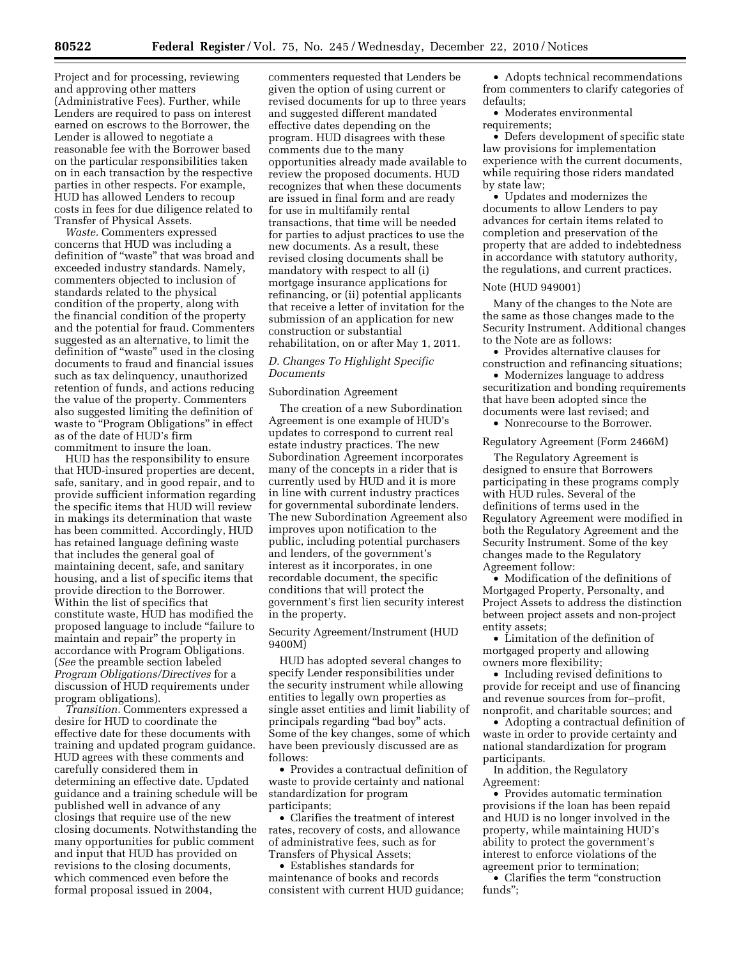Project and for processing, reviewing and approving other matters (Administrative Fees). Further, while Lenders are required to pass on interest earned on escrows to the Borrower, the Lender is allowed to negotiate a reasonable fee with the Borrower based on the particular responsibilities taken on in each transaction by the respective parties in other respects. For example, HUD has allowed Lenders to recoup costs in fees for due diligence related to Transfer of Physical Assets.

*Waste.* Commenters expressed concerns that HUD was including a definition of ''waste'' that was broad and exceeded industry standards. Namely, commenters objected to inclusion of standards related to the physical condition of the property, along with the financial condition of the property and the potential for fraud. Commenters suggested as an alternative, to limit the definition of "waste" used in the closing documents to fraud and financial issues such as tax delinquency, unauthorized retention of funds, and actions reducing the value of the property. Commenters also suggested limiting the definition of waste to "Program Obligations" in effect as of the date of HUD's firm commitment to insure the loan.

HUD has the responsibility to ensure that HUD-insured properties are decent, safe, sanitary, and in good repair, and to provide sufficient information regarding the specific items that HUD will review in makings its determination that waste has been committed. Accordingly, HUD has retained language defining waste that includes the general goal of maintaining decent, safe, and sanitary housing, and a list of specific items that provide direction to the Borrower. Within the list of specifics that constitute waste, HUD has modified the proposed language to include ''failure to maintain and repair'' the property in accordance with Program Obligations. (*See* the preamble section labeled *Program Obligations/Directives* for a discussion of HUD requirements under program obligations).

*Transition.* Commenters expressed a desire for HUD to coordinate the effective date for these documents with training and updated program guidance. HUD agrees with these comments and carefully considered them in determining an effective date. Updated guidance and a training schedule will be published well in advance of any closings that require use of the new closing documents. Notwithstanding the many opportunities for public comment and input that HUD has provided on revisions to the closing documents, which commenced even before the formal proposal issued in 2004,

commenters requested that Lenders be given the option of using current or revised documents for up to three years and suggested different mandated effective dates depending on the program. HUD disagrees with these comments due to the many opportunities already made available to review the proposed documents. HUD recognizes that when these documents are issued in final form and are ready for use in multifamily rental transactions, that time will be needed for parties to adjust practices to use the new documents. As a result, these revised closing documents shall be mandatory with respect to all (i) mortgage insurance applications for refinancing, or (ii) potential applicants that receive a letter of invitation for the submission of an application for new construction or substantial rehabilitation, on or after May 1, 2011.

## *D. Changes To Highlight Specific Documents*

## Subordination Agreement

The creation of a new Subordination Agreement is one example of HUD's updates to correspond to current real estate industry practices. The new Subordination Agreement incorporates many of the concepts in a rider that is currently used by HUD and it is more in line with current industry practices for governmental subordinate lenders. The new Subordination Agreement also improves upon notification to the public, including potential purchasers and lenders, of the government's interest as it incorporates, in one recordable document, the specific conditions that will protect the government's first lien security interest in the property.

# Security Agreement/Instrument (HUD 9400M)

HUD has adopted several changes to specify Lender responsibilities under the security instrument while allowing entities to legally own properties as single asset entities and limit liability of principals regarding "bad boy" acts. Some of the key changes, some of which have been previously discussed are as follows:

• Provides a contractual definition of waste to provide certainty and national standardization for program participants;

• Clarifies the treatment of interest rates, recovery of costs, and allowance of administrative fees, such as for Transfers of Physical Assets;

• Establishes standards for maintenance of books and records consistent with current HUD guidance;

• Adopts technical recommendations from commenters to clarify categories of defaults;

• Moderates environmental requirements;

• Defers development of specific state law provisions for implementation experience with the current documents, while requiring those riders mandated by state law;

• Updates and modernizes the documents to allow Lenders to pay advances for certain items related to completion and preservation of the property that are added to indebtedness in accordance with statutory authority, the regulations, and current practices.

#### Note (HUD 949001)

Many of the changes to the Note are the same as those changes made to the Security Instrument. Additional changes to the Note are as follows:

• Provides alternative clauses for construction and refinancing situations;

• Modernizes language to address securitization and bonding requirements that have been adopted since the documents were last revised; and

• Nonrecourse to the Borrower.

#### Regulatory Agreement (Form 2466M)

The Regulatory Agreement is designed to ensure that Borrowers participating in these programs comply with HUD rules. Several of the definitions of terms used in the Regulatory Agreement were modified in both the Regulatory Agreement and the Security Instrument. Some of the key changes made to the Regulatory Agreement follow:

• Modification of the definitions of Mortgaged Property, Personalty, and Project Assets to address the distinction between project assets and non-project entity assets;

• Limitation of the definition of mortgaged property and allowing owners more flexibility;

• Including revised definitions to provide for receipt and use of financing and revenue sources from for–profit, nonprofit, and charitable sources; and

• Adopting a contractual definition of waste in order to provide certainty and national standardization for program participants.

In addition, the Regulatory Agreement:

• Provides automatic termination provisions if the loan has been repaid and HUD is no longer involved in the property, while maintaining HUD's ability to protect the government's interest to enforce violations of the agreement prior to termination;

• Clarifies the term "construction funds'';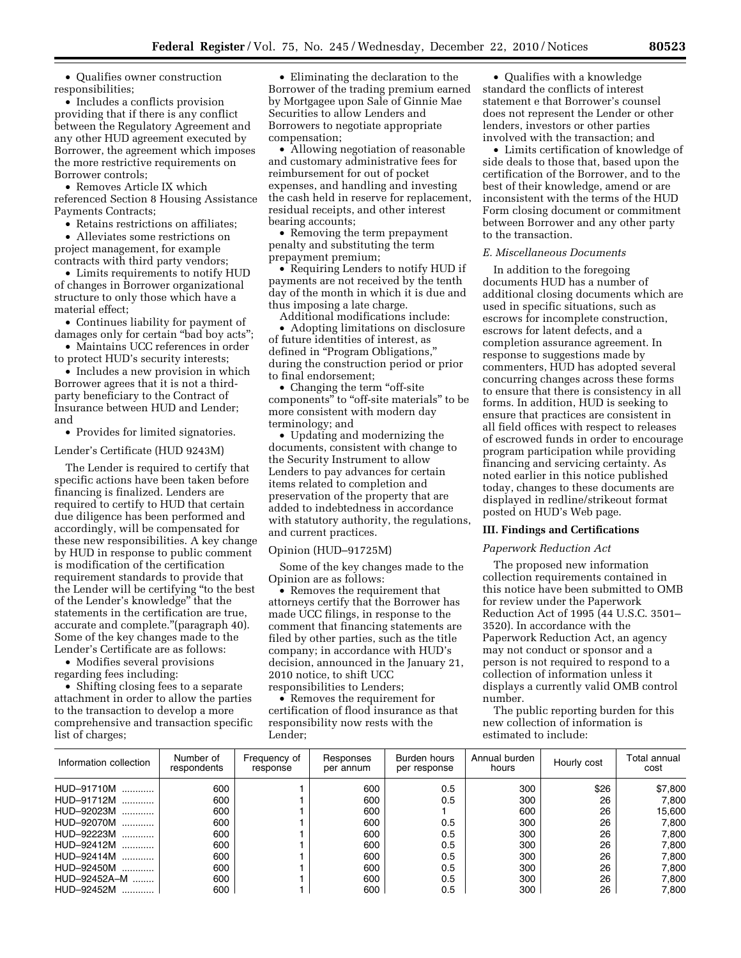• Qualifies owner construction responsibilities;

• Includes a conflicts provision providing that if there is any conflict between the Regulatory Agreement and any other HUD agreement executed by Borrower, the agreement which imposes the more restrictive requirements on Borrower controls;

• Removes Article IX which referenced Section 8 Housing Assistance Payments Contracts;

• Retains restrictions on affiliates:

• Alleviates some restrictions on project management, for example contracts with third party vendors;

• Limits requirements to notify HUD of changes in Borrower organizational structure to only those which have a material effect;

• Continues liability for payment of damages only for certain ''bad boy acts'';

• Maintains UCC references in order to protect HUD's security interests;

• Includes a new provision in which Borrower agrees that it is not a thirdparty beneficiary to the Contract of Insurance between HUD and Lender; and

• Provides for limited signatories.

Lender's Certificate (HUD 9243M)

The Lender is required to certify that specific actions have been taken before financing is finalized. Lenders are required to certify to HUD that certain due diligence has been performed and accordingly, will be compensated for these new responsibilities. A key change by HUD in response to public comment is modification of the certification requirement standards to provide that the Lender will be certifying ''to the best of the Lender's knowledge'' that the statements in the certification are true, accurate and complete.''(paragraph 40). Some of the key changes made to the Lender's Certificate are as follows:

• Modifies several provisions regarding fees including:

• Shifting closing fees to a separate attachment in order to allow the parties to the transaction to develop a more comprehensive and transaction specific list of charges;

• Eliminating the declaration to the Borrower of the trading premium earned by Mortgagee upon Sale of Ginnie Mae Securities to allow Lenders and Borrowers to negotiate appropriate compensation;

• Allowing negotiation of reasonable and customary administrative fees for reimbursement for out of pocket expenses, and handling and investing the cash held in reserve for replacement, residual receipts, and other interest bearing accounts;

• Removing the term prepayment penalty and substituting the term prepayment premium;

• Requiring Lenders to notify HUD if payments are not received by the tenth day of the month in which it is due and thus imposing a late charge.

Additional modifications include:

• Adopting limitations on disclosure of future identities of interest, as defined in "Program Obligations," during the construction period or prior to final endorsement;

 $\bullet~$  Changing the term "off-site components" to "off-site materials" to be more consistent with modern day terminology; and

• Updating and modernizing the documents, consistent with change to the Security Instrument to allow Lenders to pay advances for certain items related to completion and preservation of the property that are added to indebtedness in accordance with statutory authority, the regulations, and current practices.

#### Opinion (HUD–91725M)

Some of the key changes made to the Opinion are as follows:

• Removes the requirement that attorneys certify that the Borrower has made UCC filings, in response to the comment that financing statements are filed by other parties, such as the title company; in accordance with HUD's decision, announced in the January 21, 2010 notice, to shift UCC responsibilities to Lenders;

• Removes the requirement for certification of flood insurance as that responsibility now rests with the Lender;

• Qualifies with a knowledge standard the conflicts of interest statement e that Borrower's counsel does not represent the Lender or other lenders, investors or other parties involved with the transaction; and

• Limits certification of knowledge of side deals to those that, based upon the certification of the Borrower, and to the best of their knowledge, amend or are inconsistent with the terms of the HUD Form closing document or commitment between Borrower and any other party to the transaction.

# *E. Miscellaneous Documents*

In addition to the foregoing documents HUD has a number of additional closing documents which are used in specific situations, such as escrows for incomplete construction, escrows for latent defects, and a completion assurance agreement. In response to suggestions made by commenters, HUD has adopted several concurring changes across these forms to ensure that there is consistency in all forms. In addition, HUD is seeking to ensure that practices are consistent in all field offices with respect to releases of escrowed funds in order to encourage program participation while providing financing and servicing certainty. As noted earlier in this notice published today, changes to these documents are displayed in redline/strikeout format posted on HUD's Web page.

# **III. Findings and Certifications**

#### *Paperwork Reduction Act*

The proposed new information collection requirements contained in this notice have been submitted to OMB for review under the Paperwork Reduction Act of 1995 (44 U.S.C. 3501– 3520). In accordance with the Paperwork Reduction Act, an agency may not conduct or sponsor and a person is not required to respond to a collection of information unless it displays a currently valid OMB control number.

The public reporting burden for this new collection of information is estimated to include:

| Information collection | Number of<br>respondents | Frequency of<br>response | Responses<br>per annum | Burden hours<br>per response | Annual burden<br>hours | Hourly cost | Total annual<br>cost |
|------------------------|--------------------------|--------------------------|------------------------|------------------------------|------------------------|-------------|----------------------|
| HUD-91710M<br>.        | 600                      |                          | 600                    | 0.5                          | 300                    | \$26        | \$7,800              |
| HUD-91712M             | 600                      |                          | 600                    | 0.5                          | 300                    | 26          | 7.800                |
| HUD-92023M             | 600                      |                          | 600                    |                              | 600                    | 26          | 15,600               |
| HUD-92070M             | 600                      |                          | 600                    | 0.5                          | 300                    | 26          | 7.800                |
| HUD-92223M             | 600                      |                          | 600                    | 0.5                          | 300                    | 26          | 7.800                |
| HUD-92412M             | 600                      |                          | 600                    | 0.5                          | 300                    | 26          | 7.800                |
| HUD-92414M             | 600                      |                          | 600                    | 0.5                          | 300                    | 26          | 7.800                |
| HUD-92450M             | 600                      |                          | 600                    | 0.5                          | 300                    | 26          | 7.800                |
| HUD-92452A-M           | 600                      |                          | 600                    | 0.5                          | 300                    | 26          | 7.800                |
| HUD-92452M             | 600                      |                          | 600                    | 0.5                          | 300                    | 26          | 7.800                |